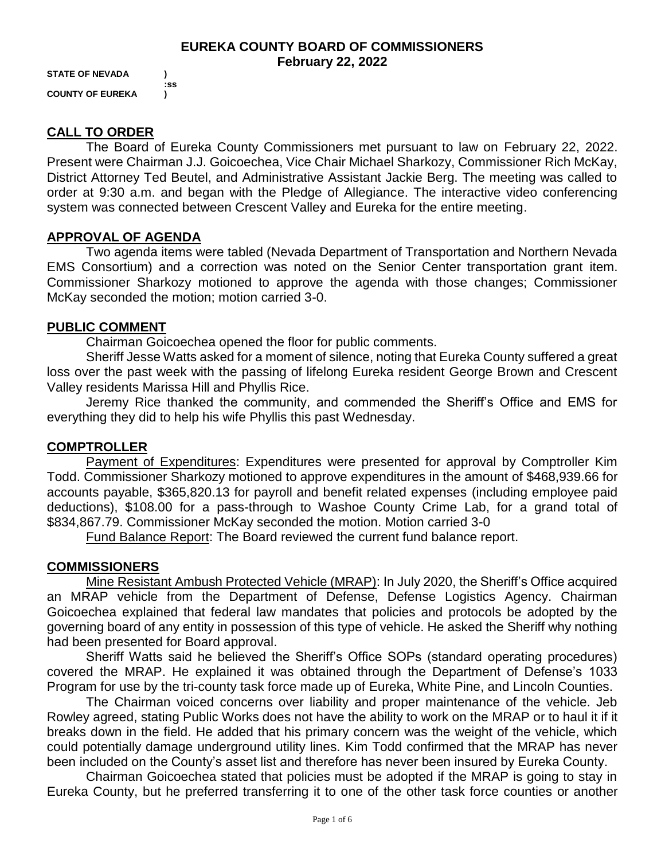#### **EUREKA COUNTY BOARD OF COMMISSIONERS February 22, 2022**

**STATE OF NEVADA ) COUNTY OF EUREKA )**

**:ss**

### **CALL TO ORDER**

The Board of Eureka County Commissioners met pursuant to law on February 22, 2022. Present were Chairman J.J. Goicoechea, Vice Chair Michael Sharkozy, Commissioner Rich McKay, District Attorney Ted Beutel, and Administrative Assistant Jackie Berg. The meeting was called to order at 9:30 a.m. and began with the Pledge of Allegiance. The interactive video conferencing system was connected between Crescent Valley and Eureka for the entire meeting.

### **APPROVAL OF AGENDA**

Two agenda items were tabled (Nevada Department of Transportation and Northern Nevada EMS Consortium) and a correction was noted on the Senior Center transportation grant item. Commissioner Sharkozy motioned to approve the agenda with those changes; Commissioner McKay seconded the motion; motion carried 3-0.

#### **PUBLIC COMMENT**

Chairman Goicoechea opened the floor for public comments.

Sheriff Jesse Watts asked for a moment of silence, noting that Eureka County suffered a great loss over the past week with the passing of lifelong Eureka resident George Brown and Crescent Valley residents Marissa Hill and Phyllis Rice.

Jeremy Rice thanked the community, and commended the Sheriff's Office and EMS for everything they did to help his wife Phyllis this past Wednesday.

### **COMPTROLLER**

Payment of Expenditures: Expenditures were presented for approval by Comptroller Kim Todd. Commissioner Sharkozy motioned to approve expenditures in the amount of \$468,939.66 for accounts payable, \$365,820.13 for payroll and benefit related expenses (including employee paid deductions), \$108.00 for a pass-through to Washoe County Crime Lab, for a grand total of \$834,867.79. Commissioner McKay seconded the motion. Motion carried 3-0

Fund Balance Report: The Board reviewed the current fund balance report.

### **COMMISSIONERS**

Mine Resistant Ambush Protected Vehicle (MRAP): In July 2020, the Sheriff's Office acquired an MRAP vehicle from the Department of Defense, Defense Logistics Agency. Chairman Goicoechea explained that federal law mandates that policies and protocols be adopted by the governing board of any entity in possession of this type of vehicle. He asked the Sheriff why nothing had been presented for Board approval.

Sheriff Watts said he believed the Sheriff's Office SOPs (standard operating procedures) covered the MRAP. He explained it was obtained through the Department of Defense's 1033 Program for use by the tri-county task force made up of Eureka, White Pine, and Lincoln Counties.

The Chairman voiced concerns over liability and proper maintenance of the vehicle. Jeb Rowley agreed, stating Public Works does not have the ability to work on the MRAP or to haul it if it breaks down in the field. He added that his primary concern was the weight of the vehicle, which could potentially damage underground utility lines. Kim Todd confirmed that the MRAP has never been included on the County's asset list and therefore has never been insured by Eureka County.

Chairman Goicoechea stated that policies must be adopted if the MRAP is going to stay in Eureka County, but he preferred transferring it to one of the other task force counties or another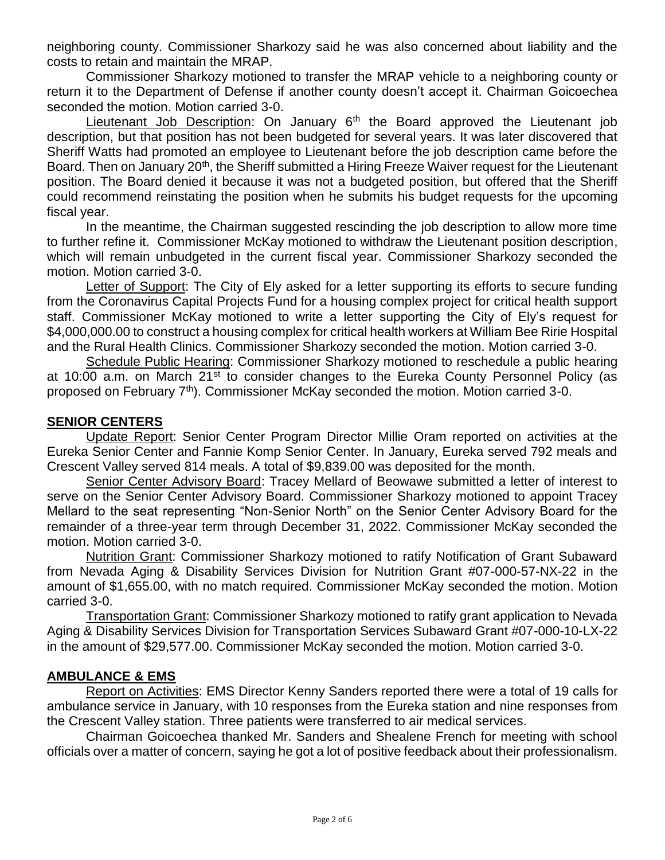neighboring county. Commissioner Sharkozy said he was also concerned about liability and the costs to retain and maintain the MRAP.

Commissioner Sharkozy motioned to transfer the MRAP vehicle to a neighboring county or return it to the Department of Defense if another county doesn't accept it. Chairman Goicoechea seconded the motion. Motion carried 3-0.

Lieutenant Job Description: On January  $6<sup>th</sup>$  the Board approved the Lieutenant job description, but that position has not been budgeted for several years. It was later discovered that Sheriff Watts had promoted an employee to Lieutenant before the job description came before the Board. Then on January 20<sup>th</sup>, the Sheriff submitted a Hiring Freeze Waiver request for the Lieutenant position. The Board denied it because it was not a budgeted position, but offered that the Sheriff could recommend reinstating the position when he submits his budget requests for the upcoming fiscal year.

In the meantime, the Chairman suggested rescinding the job description to allow more time to further refine it. Commissioner McKay motioned to withdraw the Lieutenant position description, which will remain unbudgeted in the current fiscal year. Commissioner Sharkozy seconded the motion. Motion carried 3-0.

Letter of Support: The City of Ely asked for a letter supporting its efforts to secure funding from the Coronavirus Capital Projects Fund for a housing complex project for critical health support staff. Commissioner McKay motioned to write a letter supporting the City of Ely's request for \$4,000,000.00 to construct a housing complex for critical health workers at William Bee Ririe Hospital and the Rural Health Clinics. Commissioner Sharkozy seconded the motion. Motion carried 3-0.

Schedule Public Hearing: Commissioner Sharkozy motioned to reschedule a public hearing at 10:00 a.m. on March 21<sup>st</sup> to consider changes to the Eureka County Personnel Policy (as proposed on February 7<sup>th</sup>). Commissioner McKay seconded the motion. Motion carried 3-0.

### **SENIOR CENTERS**

Update Report: Senior Center Program Director Millie Oram reported on activities at the Eureka Senior Center and Fannie Komp Senior Center. In January, Eureka served 792 meals and Crescent Valley served 814 meals. A total of \$9,839.00 was deposited for the month.

Senior Center Advisory Board: Tracey Mellard of Beowawe submitted a letter of interest to serve on the Senior Center Advisory Board. Commissioner Sharkozy motioned to appoint Tracey Mellard to the seat representing "Non-Senior North" on the Senior Center Advisory Board for the remainder of a three-year term through December 31, 2022. Commissioner McKay seconded the motion. Motion carried 3-0.

Nutrition Grant: Commissioner Sharkozy motioned to ratify Notification of Grant Subaward from Nevada Aging & Disability Services Division for Nutrition Grant #07-000-57-NX-22 in the amount of \$1,655.00, with no match required. Commissioner McKay seconded the motion. Motion carried 3-0.

Transportation Grant: Commissioner Sharkozy motioned to ratify grant application to Nevada Aging & Disability Services Division for Transportation Services Subaward Grant #07-000-10-LX-22 in the amount of \$29,577.00. Commissioner McKay seconded the motion. Motion carried 3-0.

### **AMBULANCE & EMS**

Report on Activities: EMS Director Kenny Sanders reported there were a total of 19 calls for ambulance service in January, with 10 responses from the Eureka station and nine responses from the Crescent Valley station. Three patients were transferred to air medical services.

Chairman Goicoechea thanked Mr. Sanders and Shealene French for meeting with school officials over a matter of concern, saying he got a lot of positive feedback about their professionalism.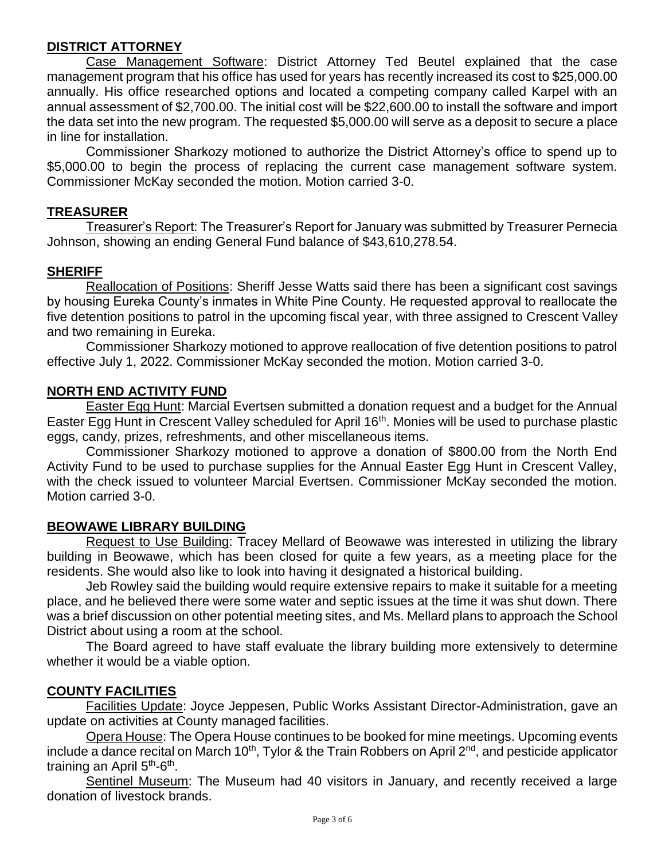# **DISTRICT ATTORNEY**

Case Management Software: District Attorney Ted Beutel explained that the case management program that his office has used for years has recently increased its cost to \$25,000.00 annually. His office researched options and located a competing company called Karpel with an annual assessment of \$2,700.00. The initial cost will be \$22,600.00 to install the software and import the data set into the new program. The requested \$5,000.00 will serve as a deposit to secure a place in line for installation.

Commissioner Sharkozy motioned to authorize the District Attorney's office to spend up to \$5,000.00 to begin the process of replacing the current case management software system. Commissioner McKay seconded the motion. Motion carried 3-0.

### **TREASURER**

Treasurer's Report: The Treasurer's Report for January was submitted by Treasurer Pernecia Johnson, showing an ending General Fund balance of \$43,610,278.54.

## **SHERIFF**

Reallocation of Positions: Sheriff Jesse Watts said there has been a significant cost savings by housing Eureka County's inmates in White Pine County. He requested approval to reallocate the five detention positions to patrol in the upcoming fiscal year, with three assigned to Crescent Valley and two remaining in Eureka.

Commissioner Sharkozy motioned to approve reallocation of five detention positions to patrol effective July 1, 2022. Commissioner McKay seconded the motion. Motion carried 3-0.

### **NORTH END ACTIVITY FUND**

Easter Egg Hunt: Marcial Evertsen submitted a donation request and a budget for the Annual Easter Egg Hunt in Crescent Valley scheduled for April 16th. Monies will be used to purchase plastic eggs, candy, prizes, refreshments, and other miscellaneous items.

Commissioner Sharkozy motioned to approve a donation of \$800.00 from the North End Activity Fund to be used to purchase supplies for the Annual Easter Egg Hunt in Crescent Valley, with the check issued to volunteer Marcial Evertsen. Commissioner McKay seconded the motion. Motion carried 3-0.

### **BEOWAWE LIBRARY BUILDING**

Request to Use Building: Tracey Mellard of Beowawe was interested in utilizing the library building in Beowawe, which has been closed for quite a few years, as a meeting place for the residents. She would also like to look into having it designated a historical building.

Jeb Rowley said the building would require extensive repairs to make it suitable for a meeting place, and he believed there were some water and septic issues at the time it was shut down. There was a brief discussion on other potential meeting sites, and Ms. Mellard plans to approach the School District about using a room at the school.

The Board agreed to have staff evaluate the library building more extensively to determine whether it would be a viable option.

### **COUNTY FACILITIES**

Facilities Update: Joyce Jeppesen, Public Works Assistant Director-Administration, gave an update on activities at County managed facilities.

Opera House: The Opera House continues to be booked for mine meetings. Upcoming events include a dance recital on March 10<sup>th</sup>, Tylor & the Train Robbers on April 2<sup>nd</sup>, and pesticide applicator training an April 5<sup>th</sup>-6<sup>th</sup>.

Sentinel Museum: The Museum had 40 visitors in January, and recently received a large donation of livestock brands.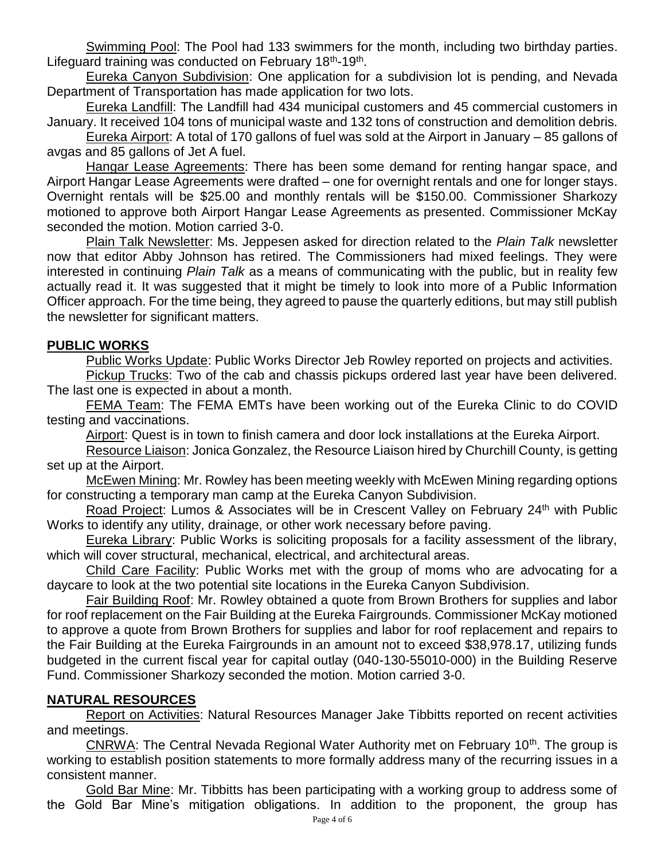Swimming Pool: The Pool had 133 swimmers for the month, including two birthday parties. Lifeguard training was conducted on February 18<sup>th</sup>-19<sup>th</sup>.

Eureka Canyon Subdivision: One application for a subdivision lot is pending, and Nevada Department of Transportation has made application for two lots.

Eureka Landfill: The Landfill had 434 municipal customers and 45 commercial customers in January. It received 104 tons of municipal waste and 132 tons of construction and demolition debris.

Eureka Airport: A total of 170 gallons of fuel was sold at the Airport in January – 85 gallons of avgas and 85 gallons of Jet A fuel.

Hangar Lease Agreements: There has been some demand for renting hangar space, and Airport Hangar Lease Agreements were drafted – one for overnight rentals and one for longer stays. Overnight rentals will be \$25.00 and monthly rentals will be \$150.00. Commissioner Sharkozy motioned to approve both Airport Hangar Lease Agreements as presented. Commissioner McKay seconded the motion. Motion carried 3-0.

Plain Talk Newsletter: Ms. Jeppesen asked for direction related to the *Plain Talk* newsletter now that editor Abby Johnson has retired. The Commissioners had mixed feelings. They were interested in continuing *Plain Talk* as a means of communicating with the public, but in reality few actually read it. It was suggested that it might be timely to look into more of a Public Information Officer approach. For the time being, they agreed to pause the quarterly editions, but may still publish the newsletter for significant matters.

### **PUBLIC WORKS**

Public Works Update: Public Works Director Jeb Rowley reported on projects and activities.

Pickup Trucks: Two of the cab and chassis pickups ordered last year have been delivered. The last one is expected in about a month.

FEMA Team: The FEMA EMTs have been working out of the Eureka Clinic to do COVID testing and vaccinations.

Airport: Quest is in town to finish camera and door lock installations at the Eureka Airport.

Resource Liaison: Jonica Gonzalez, the Resource Liaison hired by Churchill County, is getting set up at the Airport.

McEwen Mining: Mr. Rowley has been meeting weekly with McEwen Mining regarding options for constructing a temporary man camp at the Eureka Canyon Subdivision.

Road Project: Lumos & Associates will be in Crescent Valley on February 24<sup>th</sup> with Public Works to identify any utility, drainage, or other work necessary before paving.

Eureka Library: Public Works is soliciting proposals for a facility assessment of the library, which will cover structural, mechanical, electrical, and architectural areas.

Child Care Facility: Public Works met with the group of moms who are advocating for a daycare to look at the two potential site locations in the Eureka Canyon Subdivision.

Fair Building Roof: Mr. Rowley obtained a quote from Brown Brothers for supplies and labor for roof replacement on the Fair Building at the Eureka Fairgrounds. Commissioner McKay motioned to approve a quote from Brown Brothers for supplies and labor for roof replacement and repairs to the Fair Building at the Eureka Fairgrounds in an amount not to exceed \$38,978.17, utilizing funds budgeted in the current fiscal year for capital outlay (040-130-55010-000) in the Building Reserve Fund. Commissioner Sharkozy seconded the motion. Motion carried 3-0.

## **NATURAL RESOURCES**

Report on Activities: Natural Resources Manager Jake Tibbitts reported on recent activities and meetings.

CNRWA: The Central Nevada Regional Water Authority met on February  $10<sup>th</sup>$ . The group is working to establish position statements to more formally address many of the recurring issues in a consistent manner.

Gold Bar Mine: Mr. Tibbitts has been participating with a working group to address some of the Gold Bar Mine's mitigation obligations. In addition to the proponent, the group has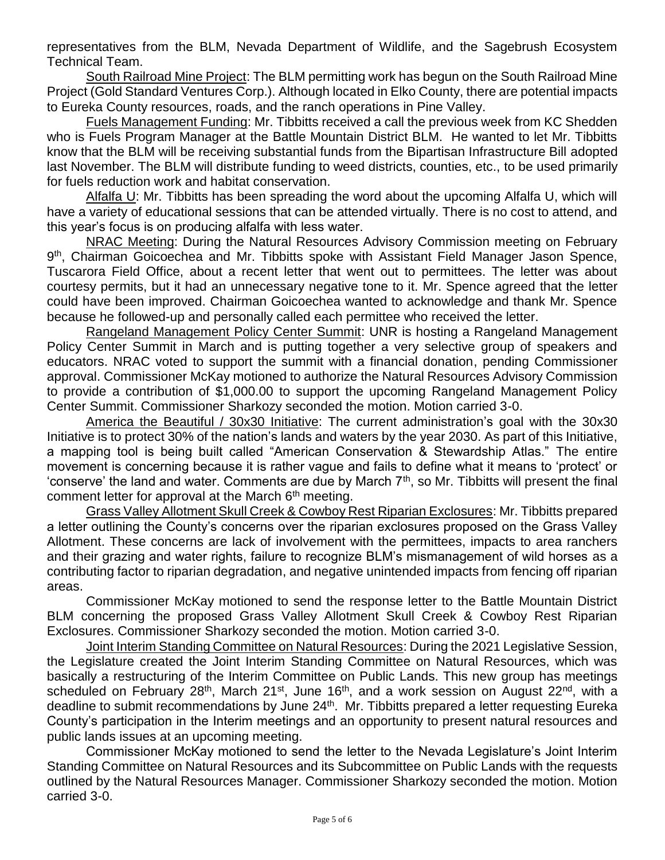representatives from the BLM, Nevada Department of Wildlife, and the Sagebrush Ecosystem Technical Team.

South Railroad Mine Project: The BLM permitting work has begun on the South Railroad Mine Project (Gold Standard Ventures Corp.). Although located in Elko County, there are potential impacts to Eureka County resources, roads, and the ranch operations in Pine Valley.

Fuels Management Funding: Mr. Tibbitts received a call the previous week from KC Shedden who is Fuels Program Manager at the Battle Mountain District BLM. He wanted to let Mr. Tibbitts know that the BLM will be receiving substantial funds from the Bipartisan Infrastructure Bill adopted last November. The BLM will distribute funding to weed districts, counties, etc., to be used primarily for fuels reduction work and habitat conservation.

Alfalfa U: Mr. Tibbitts has been spreading the word about the upcoming Alfalfa U, which will have a variety of educational sessions that can be attended virtually. There is no cost to attend, and this year's focus is on producing alfalfa with less water.

NRAC Meeting: During the Natural Resources Advisory Commission meeting on February 9<sup>th</sup>, Chairman Goicoechea and Mr. Tibbitts spoke with Assistant Field Manager Jason Spence, Tuscarora Field Office, about a recent letter that went out to permittees. The letter was about courtesy permits, but it had an unnecessary negative tone to it. Mr. Spence agreed that the letter could have been improved. Chairman Goicoechea wanted to acknowledge and thank Mr. Spence because he followed-up and personally called each permittee who received the letter.

Rangeland Management Policy Center Summit: UNR is hosting a Rangeland Management Policy Center Summit in March and is putting together a very selective group of speakers and educators. NRAC voted to support the summit with a financial donation, pending Commissioner approval. Commissioner McKay motioned to authorize the Natural Resources Advisory Commission to provide a contribution of \$1,000.00 to support the upcoming Rangeland Management Policy Center Summit. Commissioner Sharkozy seconded the motion. Motion carried 3-0.

America the Beautiful / 30x30 Initiative: The current administration's goal with the 30x30 Initiative is to protect 30% of the nation's lands and waters by the year 2030. As part of this Initiative, a mapping tool is being built called "American Conservation & Stewardship Atlas." The entire movement is concerning because it is rather vague and fails to define what it means to 'protect' or 'conserve' the land and water. Comments are due by March 7<sup>th</sup>, so Mr. Tibbitts will present the final comment letter for approval at the March  $6<sup>th</sup>$  meeting.

Grass Valley Allotment Skull Creek & Cowboy Rest Riparian Exclosures: Mr. Tibbitts prepared a letter outlining the County's concerns over the riparian exclosures proposed on the Grass Valley Allotment. These concerns are lack of involvement with the permittees, impacts to area ranchers and their grazing and water rights, failure to recognize BLM's mismanagement of wild horses as a contributing factor to riparian degradation, and negative unintended impacts from fencing off riparian areas.

Commissioner McKay motioned to send the response letter to the Battle Mountain District BLM concerning the proposed Grass Valley Allotment Skull Creek & Cowboy Rest Riparian Exclosures. Commissioner Sharkozy seconded the motion. Motion carried 3-0.

Joint Interim Standing Committee on Natural Resources: During the 2021 Legislative Session, the Legislature created the Joint Interim Standing Committee on Natural Resources, which was basically a restructuring of the Interim Committee on Public Lands. This new group has meetings scheduled on February 28<sup>th</sup>, March 21<sup>st</sup>, June 16<sup>th</sup>, and a work session on August 22<sup>nd</sup>, with a deadline to submit recommendations by June 24<sup>th</sup>. Mr. Tibbitts prepared a letter requesting Eureka County's participation in the Interim meetings and an opportunity to present natural resources and public lands issues at an upcoming meeting.

Commissioner McKay motioned to send the letter to the Nevada Legislature's Joint Interim Standing Committee on Natural Resources and its Subcommittee on Public Lands with the requests outlined by the Natural Resources Manager. Commissioner Sharkozy seconded the motion. Motion carried 3-0.